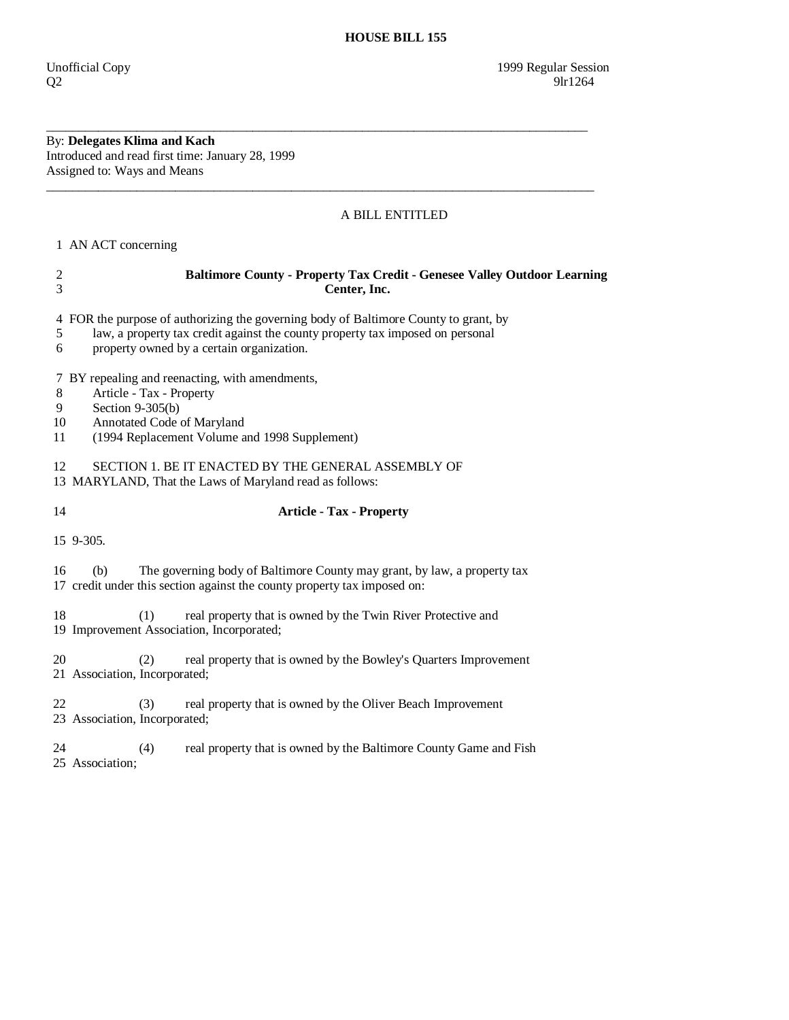By: **Delegates Klima and Kach**  Introduced and read first time: January 28, 1999 Assigned to: Ways and Means

## A BILL ENTITLED

1 AN ACT concerning

| $\mathfrak{2}$<br>3    | <b>Baltimore County - Property Tax Credit - Genesee Valley Outdoor Learning</b><br>Center, Inc.                                                                                                                     |  |  |
|------------------------|---------------------------------------------------------------------------------------------------------------------------------------------------------------------------------------------------------------------|--|--|
| 5<br>6                 | 4 FOR the purpose of authorizing the governing body of Baltimore County to grant, by<br>law, a property tax credit against the county property tax imposed on personal<br>property owned by a certain organization. |  |  |
| $8\,$<br>9<br>10<br>11 | 7 BY repealing and reenacting, with amendments,<br>Article - Tax - Property<br>Section $9-305(b)$<br>Annotated Code of Maryland<br>(1994 Replacement Volume and 1998 Supplement)                                    |  |  |
|                        | 12<br>SECTION 1. BE IT ENACTED BY THE GENERAL ASSEMBLY OF<br>13 MARYLAND, That the Laws of Maryland read as follows:                                                                                                |  |  |
| 14                     | <b>Article - Tax - Property</b>                                                                                                                                                                                     |  |  |
|                        | 15 9-305.                                                                                                                                                                                                           |  |  |
| 16                     | The governing body of Baltimore County may grant, by law, a property tax<br>(b)<br>17 credit under this section against the county property tax imposed on:                                                         |  |  |
| 18                     | (1)<br>real property that is owned by the Twin River Protective and<br>19 Improvement Association, Incorporated;                                                                                                    |  |  |
| 20                     | real property that is owned by the Bowley's Quarters Improvement<br>(2)<br>21 Association, Incorporated;                                                                                                            |  |  |
| 22                     | real property that is owned by the Oliver Beach Improvement<br>(3)<br>23 Association, Incorporated;                                                                                                                 |  |  |
| 24                     | real property that is owned by the Baltimore County Game and Fish<br>(4)<br>25 Association;                                                                                                                         |  |  |

\_\_\_\_\_\_\_\_\_\_\_\_\_\_\_\_\_\_\_\_\_\_\_\_\_\_\_\_\_\_\_\_\_\_\_\_\_\_\_\_\_\_\_\_\_\_\_\_\_\_\_\_\_\_\_\_\_\_\_\_\_\_\_\_\_\_\_\_\_\_\_\_\_\_\_\_\_\_\_\_\_\_\_\_

\_\_\_\_\_\_\_\_\_\_\_\_\_\_\_\_\_\_\_\_\_\_\_\_\_\_\_\_\_\_\_\_\_\_\_\_\_\_\_\_\_\_\_\_\_\_\_\_\_\_\_\_\_\_\_\_\_\_\_\_\_\_\_\_\_\_\_\_\_\_\_\_\_\_\_\_\_\_\_\_\_\_\_\_\_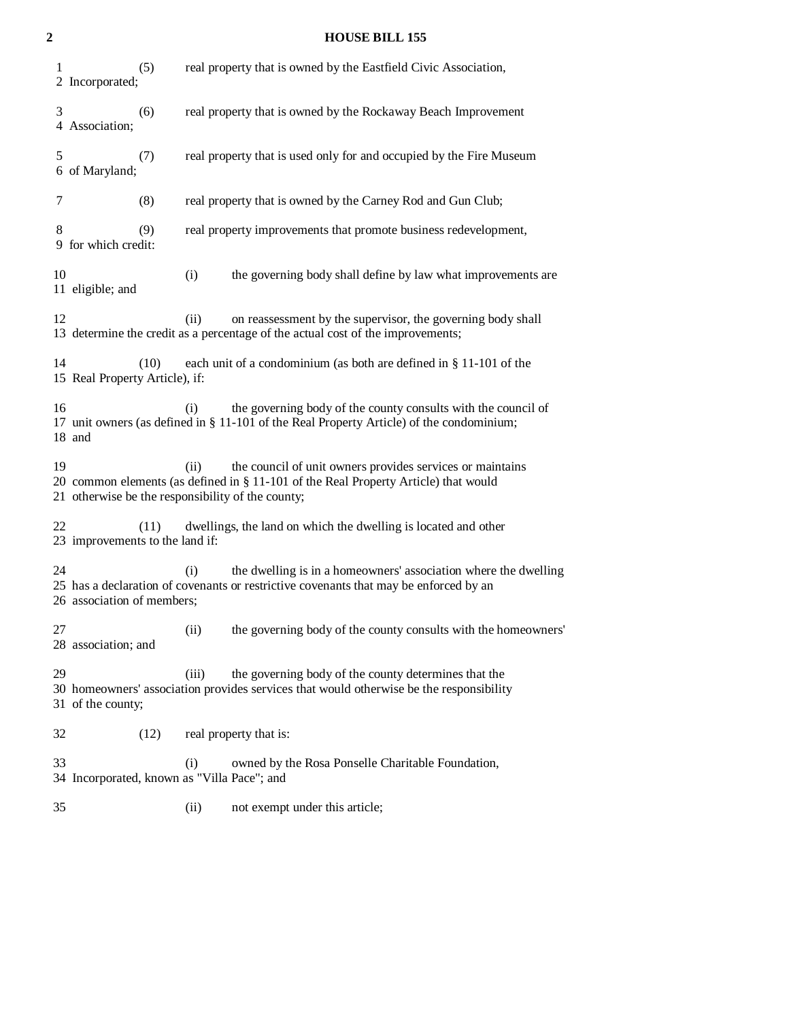## **2 HOUSE BILL 155**

| 1<br>(5)<br>2 Incorporated;                                                                                                                                                                                         | real property that is owned by the Eastfield Civic Association,                                                                                                  |  |
|---------------------------------------------------------------------------------------------------------------------------------------------------------------------------------------------------------------------|------------------------------------------------------------------------------------------------------------------------------------------------------------------|--|
| 3<br>(6)<br>4 Association;                                                                                                                                                                                          | real property that is owned by the Rockaway Beach Improvement                                                                                                    |  |
| 5<br>(7)<br>6 of Maryland;                                                                                                                                                                                          | real property that is used only for and occupied by the Fire Museum                                                                                              |  |
| (8)<br>7                                                                                                                                                                                                            | real property that is owned by the Carney Rod and Gun Club;                                                                                                      |  |
| 8<br>(9)<br>9 for which credit:                                                                                                                                                                                     | real property improvements that promote business redevelopment,                                                                                                  |  |
| 10<br>11 eligible; and                                                                                                                                                                                              | (i)<br>the governing body shall define by law what improvements are                                                                                              |  |
| 12                                                                                                                                                                                                                  | on reassessment by the supervisor, the governing body shall<br>(ii)<br>13 determine the credit as a percentage of the actual cost of the improvements;           |  |
| 14<br>each unit of a condominium (as both are defined in § 11-101 of the<br>(10)<br>15 Real Property Article), if:                                                                                                  |                                                                                                                                                                  |  |
| 16<br>18 and                                                                                                                                                                                                        | the governing body of the county consults with the council of<br>(i)<br>17 unit owners (as defined in § 11-101 of the Real Property Article) of the condominium; |  |
| 19<br>(ii)<br>the council of unit owners provides services or maintains<br>20 common elements (as defined in § 11-101 of the Real Property Article) that would<br>21 otherwise be the responsibility of the county; |                                                                                                                                                                  |  |
| 22<br>(11)<br>23 improvements to the land if:                                                                                                                                                                       | dwellings, the land on which the dwelling is located and other                                                                                                   |  |
| 24<br>26 association of members;                                                                                                                                                                                    | the dwelling is in a homeowners' association where the dwelling<br>(i)<br>25 has a declaration of covenants or restrictive covenants that may be enforced by an  |  |
| 27<br>28 association; and                                                                                                                                                                                           | (ii)<br>the governing body of the county consults with the homeowners'                                                                                           |  |
| 29<br>31 of the county;                                                                                                                                                                                             | the governing body of the county determines that the<br>(iii)<br>30 homeowners' association provides services that would otherwise be the responsibility         |  |
| 32<br>(12)                                                                                                                                                                                                          | real property that is:                                                                                                                                           |  |
| 33                                                                                                                                                                                                                  | (i)<br>owned by the Rosa Ponselle Charitable Foundation,<br>34 Incorporated, known as "Villa Pace"; and                                                          |  |

35 (ii) not exempt under this article;